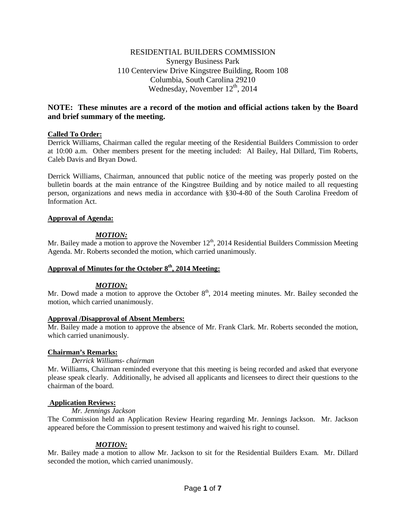# RESIDENTIAL BUILDERS COMMISSION Synergy Business Park 110 Centerview Drive Kingstree Building, Room 108 Columbia, South Carolina 29210 Wednesday, November  $12^{th}$ , 2014

# **NOTE: These minutes are a record of the motion and official actions taken by the Board and brief summary of the meeting.**

# **Called To Order:**

Derrick Williams, Chairman called the regular meeting of the Residential Builders Commission to order at 10:00 a.m. Other members present for the meeting included: Al Bailey, Hal Dillard, Tim Roberts, Caleb Davis and Bryan Dowd.

Derrick Williams, Chairman, announced that public notice of the meeting was properly posted on the bulletin boards at the main entrance of the Kingstree Building and by notice mailed to all requesting person, organizations and news media in accordance with §30-4-80 of the South Carolina Freedom of Information Act.

# **Approval of Agenda:**

# *MOTION:*

Mr. Bailey made a motion to approve the November  $12<sup>th</sup>$ , 2014 Residential Builders Commission Meeting Agenda. Mr. Roberts seconded the motion, which carried unanimously.

# Approval of Minutes for the October  $8<sup>th</sup>$ , 2014 Meeting:

# *MOTION:*

Mr. Dowd made a motion to approve the October  $8<sup>th</sup>$ , 2014 meeting minutes. Mr. Bailey seconded the motion, which carried unanimously.

# **Approval /Disapproval of Absent Members:**

Mr. Bailey made a motion to approve the absence of Mr. Frank Clark. Mr. Roberts seconded the motion, which carried unanimously.

# **Chairman's Remarks:**

# *Derrick Williams- chairman*

Mr. Williams, Chairman reminded everyone that this meeting is being recorded and asked that everyone please speak clearly. Additionally, he advised all applicants and licensees to direct their questions to the chairman of the board.

# **Application Reviews:**

*Mr. Jennings Jackson* 

The Commission held an Application Review Hearing regarding Mr. Jennings Jackson. Mr. Jackson appeared before the Commission to present testimony and waived his right to counsel.

# *MOTION:*

Mr. Bailey made a motion to allow Mr. Jackson to sit for the Residential Builders Exam. Mr. Dillard seconded the motion, which carried unanimously.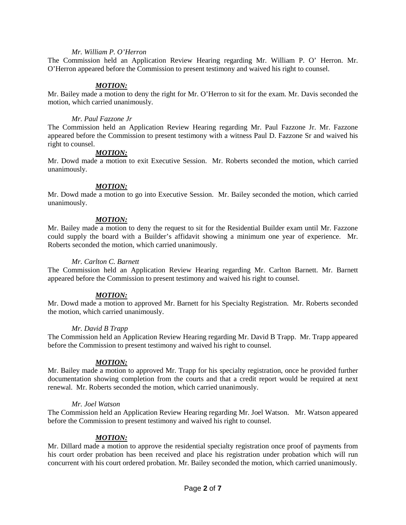### *Mr. William P. O'Herron*

The Commission held an Application Review Hearing regarding Mr. William P. O' Herron. Mr. O'Herron appeared before the Commission to present testimony and waived his right to counsel.

### *MOTION:*

Mr. Bailey made a motion to deny the right for Mr. O'Herron to sit for the exam. Mr. Davis seconded the motion, which carried unanimously.

### *Mr. Paul Fazzone Jr*

The Commission held an Application Review Hearing regarding Mr. Paul Fazzone Jr. Mr. Fazzone appeared before the Commission to present testimony with a witness Paul D. Fazzone Sr and waived his right to counsel.

### *MOTION:*

Mr. Dowd made a motion to exit Executive Session. Mr. Roberts seconded the motion, which carried unanimously.

### *MOTION:*

Mr. Dowd made a motion to go into Executive Session. Mr. Bailey seconded the motion, which carried unanimously.

### *MOTION:*

Mr. Bailey made a motion to deny the request to sit for the Residential Builder exam until Mr. Fazzone could supply the board with a Builder's affidavit showing a minimum one year of experience. Mr. Roberts seconded the motion, which carried unanimously.

### *Mr. Carlton C. Barnett*

The Commission held an Application Review Hearing regarding Mr. Carlton Barnett. Mr. Barnett appeared before the Commission to present testimony and waived his right to counsel.

# *MOTION:*

Mr. Dowd made a motion to approved Mr. Barnett for his Specialty Registration. Mr. Roberts seconded the motion, which carried unanimously.

# *Mr. David B Trapp*

The Commission held an Application Review Hearing regarding Mr. David B Trapp. Mr. Trapp appeared before the Commission to present testimony and waived his right to counsel.

# *MOTION:*

Mr. Bailey made a motion to approved Mr. Trapp for his specialty registration, once he provided further documentation showing completion from the courts and that a credit report would be required at next renewal. Mr. Roberts seconded the motion, which carried unanimously.

#### *Mr. Joel Watson*

The Commission held an Application Review Hearing regarding Mr. Joel Watson. Mr. Watson appeared before the Commission to present testimony and waived his right to counsel.

# *MOTION:*

Mr. Dillard made a motion to approve the residential specialty registration once proof of payments from his court order probation has been received and place his registration under probation which will run concurrent with his court ordered probation. Mr. Bailey seconded the motion, which carried unanimously.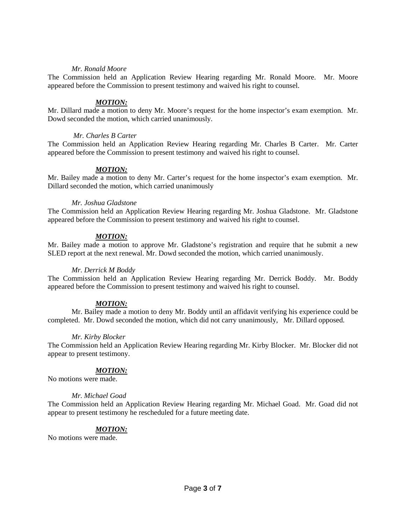### *Mr. Ronald Moore*

The Commission held an Application Review Hearing regarding Mr. Ronald Moore. Mr. Moore appeared before the Commission to present testimony and waived his right to counsel.

# *MOTION:*

Mr. Dillard made a motion to deny Mr. Moore's request for the home inspector's exam exemption. Mr. Dowd seconded the motion, which carried unanimously.

### *Mr. Charles B Carter*

The Commission held an Application Review Hearing regarding Mr. Charles B Carter. Mr. Carter appeared before the Commission to present testimony and waived his right to counsel.

# *MOTION:*

Mr. Bailey made a motion to deny Mr. Carter's request for the home inspector's exam exemption. Mr. Dillard seconded the motion, which carried unanimously

### *Mr. Joshua Gladstone*

The Commission held an Application Review Hearing regarding Mr. Joshua Gladstone. Mr. Gladstone appeared before the Commission to present testimony and waived his right to counsel.

# *MOTION:*

Mr. Bailey made a motion to approve Mr. Gladstone's registration and require that he submit a new SLED report at the next renewal. Mr. Dowd seconded the motion, which carried unanimously.

#### *Mr. Derrick M Boddy*

The Commission held an Application Review Hearing regarding Mr. Derrick Boddy. Mr. Boddy appeared before the Commission to present testimony and waived his right to counsel.

# *MOTION:*

Mr. Bailey made a motion to deny Mr. Boddy until an affidavit verifying his experience could be completed. Mr. Dowd seconded the motion, which did not carry unanimously, Mr. Dillard opposed.

#### *Mr. Kirby Blocker*

The Commission held an Application Review Hearing regarding Mr. Kirby Blocker. Mr. Blocker did not appear to present testimony.

#### *MOTION:*

No motions were made.

#### *Mr. Michael Goad*

The Commission held an Application Review Hearing regarding Mr. Michael Goad. Mr. Goad did not appear to present testimony he rescheduled for a future meeting date.

# *MOTION:*

No motions were made.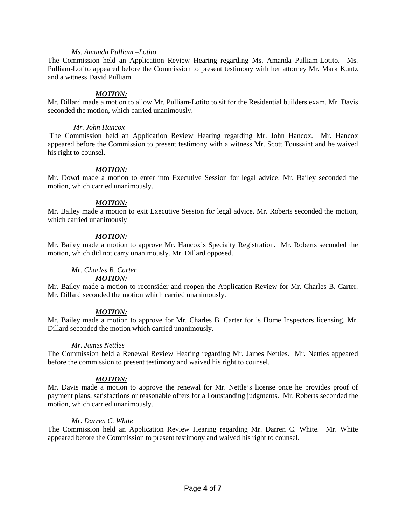#### *Ms. Amanda Pulliam –Lotito*

The Commission held an Application Review Hearing regarding Ms. Amanda Pulliam-Lotito. Ms. Pulliam-Lotito appeared before the Commission to present testimony with her attorney Mr. Mark Kuntz and a witness David Pulliam.

### *MOTION:*

Mr. Dillard made a motion to allow Mr. Pulliam-Lotito to sit for the Residential builders exam. Mr. Davis seconded the motion, which carried unanimously.

#### *Mr. John Hancox*

The Commission held an Application Review Hearing regarding Mr. John Hancox. Mr. Hancox appeared before the Commission to present testimony with a witness Mr. Scott Toussaint and he waived his right to counsel.

# *MOTION:*

Mr. Dowd made a motion to enter into Executive Session for legal advice. Mr. Bailey seconded the motion, which carried unanimously.

### *MOTION:*

Mr. Bailey made a motion to exit Executive Session for legal advice. Mr. Roberts seconded the motion, which carried unanimously

# *MOTION:*

Mr. Bailey made a motion to approve Mr. Hancox's Specialty Registration. Mr. Roberts seconded the motion, which did not carry unanimously. Mr. Dillard opposed.

# *Mr. Charles B. Carter*

#### *MOTION:*

Mr. Bailey made a motion to reconsider and reopen the Application Review for Mr. Charles B. Carter. Mr. Dillard seconded the motion which carried unanimously.

# *MOTION:*

Mr. Bailey made a motion to approve for Mr. Charles B. Carter for is Home Inspectors licensing. Mr. Dillard seconded the motion which carried unanimously.

#### *Mr. James Nettles*

The Commission held a Renewal Review Hearing regarding Mr. James Nettles. Mr. Nettles appeared before the commission to present testimony and waived his right to counsel.

# *MOTION:*

Mr. Davis made a motion to approve the renewal for Mr. Nettle's license once he provides proof of payment plans, satisfactions or reasonable offers for all outstanding judgments. Mr. Roberts seconded the motion, which carried unanimously.

# *Mr. Darren C. White*

The Commission held an Application Review Hearing regarding Mr. Darren C. White. Mr. White appeared before the Commission to present testimony and waived his right to counsel.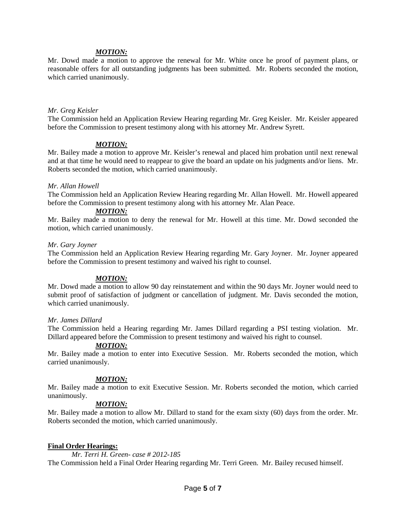# *MOTION:*

Mr. Dowd made a motion to approve the renewal for Mr. White once he proof of payment plans, or reasonable offers for all outstanding judgments has been submitted. Mr. Roberts seconded the motion, which carried unanimously.

#### *Mr. Greg Keisler*

The Commission held an Application Review Hearing regarding Mr. Greg Keisler. Mr. Keisler appeared before the Commission to present testimony along with his attorney Mr. Andrew Syrett.

# *MOTION:*

Mr. Bailey made a motion to approve Mr. Keisler's renewal and placed him probation until next renewal and at that time he would need to reappear to give the board an update on his judgments and/or liens. Mr. Roberts seconded the motion, which carried unanimously.

# *Mr. Allan Howell*

The Commission held an Application Review Hearing regarding Mr. Allan Howell. Mr. Howell appeared before the Commission to present testimony along with his attorney Mr. Alan Peace.

# *MOTION:*

Mr. Bailey made a motion to deny the renewal for Mr. Howell at this time. Mr. Dowd seconded the motion, which carried unanimously.

### *Mr. Gary Joyner*

The Commission held an Application Review Hearing regarding Mr. Gary Joyner. Mr. Joyner appeared before the Commission to present testimony and waived his right to counsel.

# *MOTION:*

Mr. Dowd made a motion to allow 90 day reinstatement and within the 90 days Mr. Joyner would need to submit proof of satisfaction of judgment or cancellation of judgment. Mr. Davis seconded the motion, which carried unanimously.

#### *Mr. James Dillard*

The Commission held a Hearing regarding Mr. James Dillard regarding a PSI testing violation. Mr. Dillard appeared before the Commission to present testimony and waived his right to counsel.

# *MOTION:*

Mr. Bailey made a motion to enter into Executive Session. Mr. Roberts seconded the motion, which carried unanimously.

# *MOTION:*

Mr. Bailey made a motion to exit Executive Session. Mr. Roberts seconded the motion, which carried unanimously.

# *MOTION:*

Mr. Bailey made a motion to allow Mr. Dillard to stand for the exam sixty (60) days from the order. Mr. Roberts seconded the motion, which carried unanimously.

# **Final Order Hearings:**

*Mr. Terri H. Green- case # 2012-185*  The Commission held a Final Order Hearing regarding Mr. Terri Green. Mr. Bailey recused himself.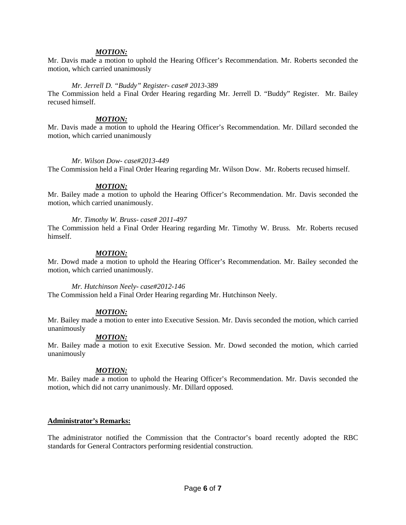### *MOTION:*

Mr. Davis made a motion to uphold the Hearing Officer's Recommendation. Mr. Roberts seconded the motion, which carried unanimously

#### *Mr. Jerrell D. "Buddy" Register- case# 2013-389*

The Commission held a Final Order Hearing regarding Mr. Jerrell D. "Buddy" Register. Mr. Bailey recused himself.

### *MOTION:*

Mr. Davis made a motion to uphold the Hearing Officer's Recommendation. Mr. Dillard seconded the motion, which carried unanimously

### *Mr. Wilson Dow- case#2013-449*

The Commission held a Final Order Hearing regarding Mr. Wilson Dow. Mr. Roberts recused himself.

### *MOTION:*

Mr. Bailey made a motion to uphold the Hearing Officer's Recommendation. Mr. Davis seconded the motion, which carried unanimously.

### *Mr. Timothy W. Bruss- case# 2011-497*

The Commission held a Final Order Hearing regarding Mr. Timothy W. Bruss. Mr. Roberts recused himself.

### *MOTION:*

Mr. Dowd made a motion to uphold the Hearing Officer's Recommendation. Mr. Bailey seconded the motion, which carried unanimously.

#### *Mr. Hutchinson Neely- case#2012-146*

The Commission held a Final Order Hearing regarding Mr. Hutchinson Neely.

# *MOTION:*

Mr. Bailey made a motion to enter into Executive Session. Mr. Davis seconded the motion, which carried unanimously

# *MOTION:*

Mr. Bailey made a motion to exit Executive Session. Mr. Dowd seconded the motion, which carried unanimously

# *MOTION:*

Mr. Bailey made a motion to uphold the Hearing Officer's Recommendation. Mr. Davis seconded the motion, which did not carry unanimously. Mr. Dillard opposed.

#### **Administrator's Remarks:**

The administrator notified the Commission that the Contractor's board recently adopted the RBC standards for General Contractors performing residential construction.